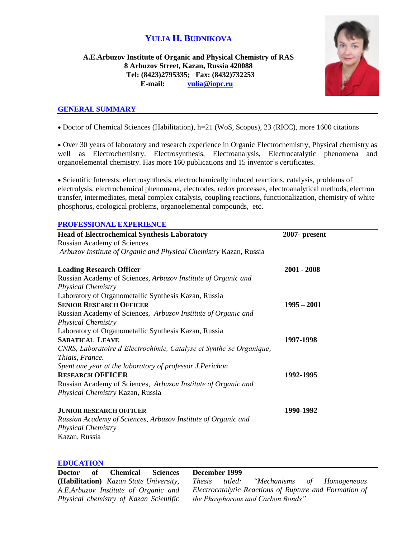# **YULIA H. BUDNIKOVA**

**A.E.Arbuzov Institute of Organic and Physical Chemistry of RAS 8 Arbuzov Street, Kazan, Russia 420088 Tel: (8423)2795335; Fax: (8432)732253 E-mail: [yulia@iopc.ru](mailto:yulia@iopc.ru)**



# **GENERAL SUMMARY**

Doctor of Chemical Sciences (Habilitation), h=21 (WoS, Scopus), 23 (RICC), more 1600 citations

 Over 30 years of laboratory and research experience in Organic Electrochemistry, Physical chemistry as well as Electrochemistry, Electrosynthesis, Electroanalysis, Electrocatalytic phenomena and organoelemental chemistry. Has more 160 publications and 15 inventor's certificates.

 Scientific Interests: electrosynthesis, electrochemically induced reactions, catalysis, problems of electrolysis, electrochemical phenomena, electrodes, redox processes, electroanalytical methods, electron transfer, intermediates, metal complex catalysis, coupling reactions, functionalization, chemistry of white phosphorus, ecological problems, organoelemental compounds, etc**.**

# **PROFESSIONAL EXPERIENCE**

| <b>Head of Electrochemical Synthesis Laboratory</b>                 | 2007- present |
|---------------------------------------------------------------------|---------------|
| <b>Russian Academy of Sciences</b>                                  |               |
| Arbuzov Institute of Organic and Physical Chemistry Kazan, Russia   |               |
| <b>Leading Research Officer</b>                                     | $2001 - 2008$ |
| Russian Academy of Sciences, Arbuzov Institute of Organic and       |               |
| <b>Physical Chemistry</b>                                           |               |
| Laboratory of Organometallic Synthesis Kazan, Russia                |               |
| <b>SENIOR RESEARCH OFFICER</b>                                      | $1995 - 2001$ |
| Russian Academy of Sciences, Arbuzov Institute of Organic and       |               |
| <b>Physical Chemistry</b>                                           |               |
| Laboratory of Organometallic Synthesis Kazan, Russia                |               |
| <b>SABATICAL LEAVE</b>                                              | 1997-1998     |
| CNRS, Laboratoire d'Electrochimie, Catalyse et Synthe se Organique, |               |
| Thiais, France.                                                     |               |
| Spent one year at the laboratory of professor J.Perichon            |               |
| <b>RESEARCH OFFICER</b>                                             | 1992-1995     |
| Russian Academy of Sciences, Arbuzov Institute of Organic and       |               |
| Physical Chemistry Kazan, Russia                                    |               |
| <b>JUNIOR RESEARCH OFFICER</b>                                      | 1990-1992     |
| Russian Academy of Sciences, Arbuzov Institute of Organic and       |               |
| <b>Physical Chemistry</b>                                           |               |
| Kazan, Russia                                                       |               |

#### **EDUCATION**

|  | Doctor of Chemical Sciences                     | December 1999 |                                                        |  |
|--|-------------------------------------------------|---------------|--------------------------------------------------------|--|
|  | ( <b>Habilitation</b> ) Kazan State University, |               | <i>Thesis titled:</i> "Mechanisms of Homogeneous"      |  |
|  | A.E.Arbuzov Institute of Organic and            |               | Electrocatalytic Reactions of Rupture and Formation of |  |
|  | Physical chemistry of Kazan Scientific          |               | the Phosphorous and Carbon Bonds"                      |  |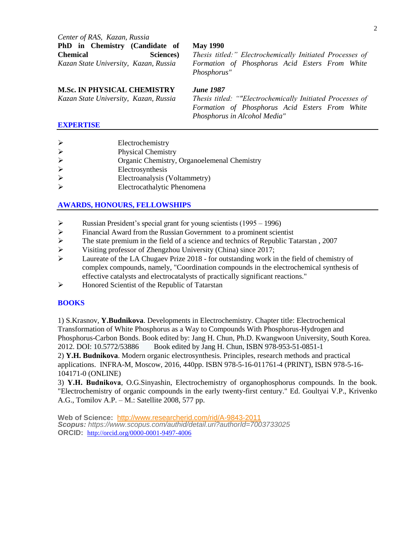*Center of RAS, Kazan, Russia* **PhD in Chemistry (Candidate of Chemical Sciences)**  *Kazan State University, Kazan, Russia*

*Thesis titled:" Electrochemically Initiated Processes of Formation of Phosphorus Acid Esters From White Phosphorus"*

### **M.Sc. IN PHYSICAL CHEMISTRY**

*Kazan State University, Kazan, Russia*

*June 1987*

**May 1990**

*Thesis titled: ""Electrochemically Initiated Processes of Formation of Phosphorus Acid Esters From White Phosphorus in Alcohol Media"*

## **EXPERTISE**

- $\triangleright$  Electrochemistry
- Physical Chemistry
- Organic Chemistry, Organoelemenal Chemistry
- Electrosynthesis
- Electroanalysis (Voltammetry)
- Electrocathalytic Phenomena

# **AWARDS, HONOURS, FELLOWSHIPS**

- P Russian President's special grant for young scientists  $(1995 1996)$
- Financial Award from the Russian Government to a prominent scientist
- $\triangleright$  The state premium in the field of a science and technics of Republic Tatarstan, 2007
- Visiting professor of Zhengzhou University (China) since 2017;
- $\triangleright$  Laureate of the LA Chugaev Prize 2018 for outstanding work in the field of chemistry of complex compounds, namely, "Coordination compounds in the electrochemical synthesis of effective catalysts and electrocatalysts of practically significant reactions."
- $\triangleright$  Honored Scientist of the Republic of Tatarstan

# **BOOKS**

1) S.Krasnov, **Y.Budnikova**. Developments in Electrochemistry. Chapter title: Electrochemical Transformation of White Phosphorus as a Way to Compounds With Phosphorus-Hydrogen and Phosphorus-Carbon Bonds. Book edited by: Jang H. Chun, Ph.D. Kwangwoon University, South Korea. 2012. DOI: 10.5772/53886 Book edited by Jang H. Chun, ISBN 978-953-51-0851-1 2) **Y.H. Budnikova**. Modern organic electrosynthesis. Principles, research methods and practical applications. INFRA-M, Moscow, 2016, 440pp. ISBN 978-5-16-011761-4 (PRINT), ISBN 978-5-16- 104171-0 (ONLINE)

3) **Y.Н. Budnikova**, O.G.Sinyashin, Electrochemistry of organophosphorus compounds. In the book. "Electrochemistry of organic compounds in the early twenty-first century." Ed. Goultyai V.P., Krivenko A.G., Tomilov A.P. – M.: Satellite 2008, 577 pp.

**Web of Science:** http://www.researcherid.com/rid/A-9843-2011 *Scopus: https://www.scopus.com/authid/detail.uri?authorId=7003733025* **ORCID:** [http://orcid.org/0000-0001-9497-4006](http://www.scopus.com/redirect.url?url=http://www.orcid.org/0000-0001-9497-4006&authorId=7003733025&origin=AuthorProfile&orcId=0000-0001-9497-4006&category=orcidLink)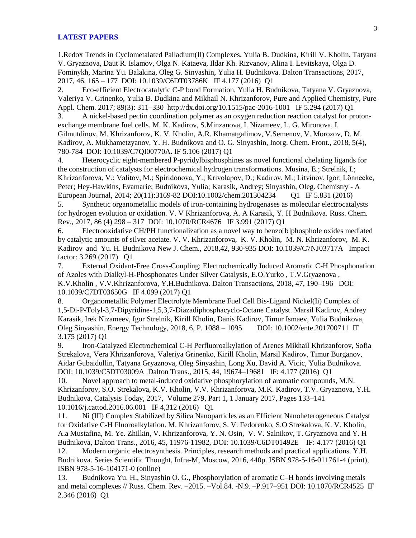#### **LATEST PAPERS**

1.Redox Trends in Cyclometalated Palladium(II) Complexes. Yulia B. Dudkina, Kirill V. Kholin, Tatyana V. Gryaznova, Daut R. Islamov, Olga N. Kataeva, Ildar Kh. Rizvanov, Alina I. Levitskaya, Olga D. Fominykh, Marina Yu. Balakina, Oleg G. Sinyashin, Yulia H. Budnikova. Dalton Transactions, 2017, 2017, 46, 165 – 177 DOI: 10.1039/C6DT03786K IF 4.177 (2016) Q1

2. Eco-efficient Electrocatalytic C-P bond Formation, Yulia H. Budnikova, Tatyana V. Gryaznova, Valeriya V. Grinenko, Yulia B. Dudkina and Mikhail N. Khrizanforov, Pure and Applied Chemistry, Pure Appl. Chem. 2017; 89(3): 311–330 http://dx.doi.org/10.1515/pac-2016-1001 IF 5.294 (2017) Q1

3. A nickel-based pectin coordination polymer as an oxygen reduction reaction catalyst for protonexchange membrane fuel cells. M. K. Kadirov, S.Minzanova, I. Nizameev, L. G. Mironova, I. Gilmutdinov, M. Khrizanforov, K. V. Kholin, A.R. Khamatgalimov, V.Semenov, V. Morozov, D. M. Kadirov, A. Mukhametzyanov, Y. H. Budnikova and O. G. Sinyashin, Inorg. Chem. Front., 2018, 5(4), 780-784 DOI: 10.1039/C7QI00770A. IF 5.106 (2017) Q1

4. Heterocyclic eight-membered P-pyridylbisphosphines as novel functional chelating ligands for the construction of catalysts for electrochemical hydrogen transformations. Musina, E.; Strelnik, I.; Khrizanforova, V.; Valitov, M.; Spiridonova, Y.; Krivolapov, D.; Kadirov, M.; Litvinov, Igor; Lönnecke, Peter; Hey-Hawkins, Evamarie; Budnikova, Yulia; Karasik, Andrey; Sinyashin, Oleg. Chemistry - A European Journal, 2014; 20(11):3169-82 DOI:10.1002/chem.201304234 Q1 IF 5.831 (2016)

5. Synthetic organometallic models of iron-containing hydrogenases as molecular electrocatalysts for hydrogen evolution or oxidation. V. V Khrizanforova, A. A Karasik, Y. H Budnikova. Russ. Chem. Rev., 2017, 86 (4) 298 – 317 DOI: 10.1070/RCR4676 IF 3.991 (2017) Q1

6. Electrooxidative CH/PH functionalization as a novel way to benzo[b]phosphole oxides mediated by catalytic amounts of silver acetate. V. V. Khrizanforova, K. V. Kholin, M. N. Khrizanforov, M. K. Kadirov and Yu. H. Budnikova New J. Chem., 2018,42, 930-935 DOI: 10.1039/C7NJ03717A Impact factor: 3.269 (2017) Q1

7. External Oxidant-Free Cross-Coupling: Electrochemically Induced Aromatic C-H Phosphonation of Azoles with Dialkyl-H-Phosphonates Under Silver Catalysis, E.O.Yurko , T.V.Gryaznova , K.V.Kholin , V.V.Khrizanforova, Y.H.Budnikova. Dalton Transactions, 2018, 47, 190–196 DOI: 10.1039/C7DT03650G IF 4.099 (2017) Q1

8. Organometallic Polymer Electrolyte Membrane Fuel Cell Bis-Ligand Nickel(Ii) Complex of 1,5‐Di‐P‐Tolyl‐3,7‐Dipyridine‐1,5,3,7‐Diazadiphosphacyclo‐Octane Catalyst. Marsil Kadirov, Andrey Karasik, Irek Nizameev, Igor Strelnik, Kirill Kholin, Danis Kadirov, Timur Ismaev, Yulia Budnikova, Oleg Sinyashin. Energy Technology, 2018, 6, P. 1088 – 1095 DOI: 10.1002/ente.201700711 IF 3.175 (2017) Q1

9. Iron-Catalyzed Electrochemical C-H Perfluoroalkylation of Arenes Mikhail Khrizanforov, Sofia Strekalova, Vera Khrizanforova, Valeriya Grinenko, Kirill Kholin, Marsil Kadirov, Timur Burganov, Aidar Gubaidullin, Tatyana Gryaznova, Oleg Sinyashin, Long Xu, David A. Vicic, Yulia Budnikova. DOI: 10.1039/C5DT03009A Dalton Trans., 2015, 44, 19674–19681 IF: 4.177 (2016) Q1

10. Novel approach to metal-induced oxidative phosphorylation of aromatic compounds, M.N. Khrizanforov, S.O. Strekalova, K.V. Kholin, V.V. Khrizanforova, M.K. Kadirov, T.V. Gryaznova, Y.H. Budnikova, Catalysis Today, 2017, Volume 279, Part 1, 1 January 2017, Pages 133–141 10.1016/j.cattod.2016.06.001 IF 4,312 (2016) Q1

11. Ni (III) Complex Stabilized by Silica Nanoparticles as an Efficient Nanoheterogeneous Catalyst for Oxidative C-H Fluoroalkylation. M. Khrizanforov, S. V. Fedorenko, S.O Strekalova, K. V. Kholin, A.a Mustafina, M. Ye. Zhilkin, V. Khrizanforova, Y. N. Osin, V. V. Salnikov, T. Gryaznova and Y. H Budnikova, Dalton Trans., 2016, 45, 11976-11982, DOI: 10.1039/C6DT01492E IF: 4.177 (2016) Q1

12. Modern organic electrosynthesis. Principles, research methods and practical applications. Y.H. Budnikova. Series Scientific Thought, Infra-M, Moscow, 2016, 440p. ISBN 978-5-16-011761-4 (print), ISBN 978-5-16-104171-0 (online)

13. Budnikova Yu. H., Sinyashin O. G., Phosphorylation of aromatic C–H bonds involving metals and metal complexes // Russ. Chem. Rev. –2015. –Vol.84. -N.9. –P.917–951 DOI: 10.1070/RCR4525 IF 2.346 (2016) Q1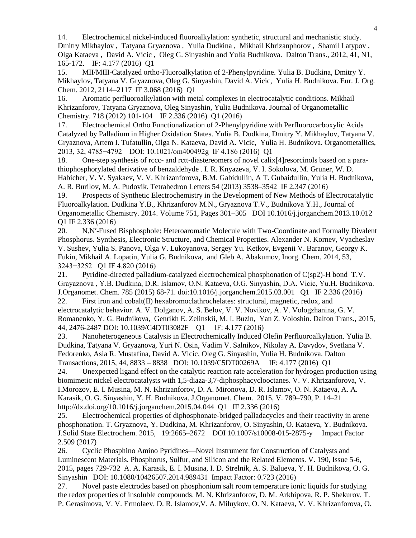14. Electrochemical nickel-induced fluoroalkylation: synthetic, structural and mechanistic study. Dmitry Mikhaylov , Tatyana Gryaznova , Yulia Dudkina , Mikhail Khrizanphorov , Shamil Latypov , Olga Kataeva , David A. Vicic , Oleg G. Sinyashin and Yulia Budnikova. Dalton Trans., 2012, 41, N1, 165-172. IF: 4.177 (2016) Q1

15. MII/MIII-Catalyzed ortho-Fluoroalkylation of 2-Phenylpyridine. Yulia B. Dudkina, Dmitry Y. Mikhaylov, Tatyana V. Gryaznova, Oleg G. Sinyashin, David A. Vicic, Yulia H. Budnikova. Eur. J. Org. Chem. 2012, 2114–2117 IF 3.068 (2016) Q1

16. Aromatic perfluoroalkylation with metal complexes in electrocatalytic conditions. Mikhail Khrizanforov, Tatyana Gryaznova, Oleg Sinyashin, Yulia Budnikova. Journal of Organometallic Chemistry. 718 (2012) 101-104 IF 2.336 (2016) Q1 (2016)

17. Electrochemical Ortho Functionalization of 2-Phenylpyridine with Perfluorocarboxylic Acids Catalyzed by Palladium in Higher Oxidation States. Yulia B. Dudkina, Dmitry Y. Mikhaylov, Tatyana V. Gryaznova, Artem I. Tufatullin, Olga N. Kataeva, David A. Vicic, Yulia H. Budnikova. Organometallics, 2013, 32, 4785−4792 DOI: 10.1021/om400492g IF 4.186 (2016) Q1

18. One-step synthesis of rccc- and rctt-diastereomers of novel calix[4]resorcinols based on a parathiophosphorylated derivative of benzaldehyde . I. R. Knyazeva, V. I. Sokolova, M. Gruner, W. D. Habicher, V. V. Syakaev, V. V. Khrizanforova, B.M. Gabidullin, A T. Gubaidullin, Yulia H. Budnikova, A. R. Burilov, M. A. Pudovik. Tetrahedron Letters 54 (2013) 3538–3542 IF 2.347 (2016)

19. Prospects of Synthetic Electrochemistry in the Development of New Methods of Electrocatalytic Fluoroalkylation. Dudkina Y.B., Khrizanforov M.N., Gryaznova T.V., Budnikova Y.H., Journal of Organometallic Chemistry. 2014. Volume 751, Pages 301–305 DOI 10.1016/j.jorganchem.2013.10.012 Q1 IF 2.336 (2016)

20. N,N′-Fused Bisphosphole: Heteroaromatic Molecule with Two-Coordinate and Formally Divalent Phosphorus. Synthesis, Electronic Structure, and Chemical Properties. Alexander N. Kornev, Vyacheslav V. Sushev, Yulia S. Panova, Olga V. Lukoyanova, Sergey Yu. Ketkov, Evgenii V. Baranov, Georgy K. Fukin, Mikhail A. Lopatin, Yulia G. Budnikova, and Gleb A. Abakumov, Inorg. Chem. 2014, 53, 3243−3252 Q1 IF 4.820 (2016)

21. Pyridine-directed palladium-catalyzed electrochemical phosphonation of C(sp2)-H bond T.V. Grayaznova , Y.B. Dudkina, D.R. Islamov, O.N. Kataeva, O.G. Sinyashin, D.A. Vicic, Yu.Н. Budnikova. J.Organomet. Chem. 785 (2015) 68-71. doi:10.1016/j.jorganchem.2015.03.001 Q1 IF 2.336 (2016) 22. First iron and  $\text{cobalt}(II)$  hexabromoclathrochelates: structural, magnetic, redox, and

electrocatalytic behavior. A. V. Dolganov, A. S. Belov, V. V. Novikov, A. V. Vologzhanina, G. V. Romanenko, Y. G. Budnikova, Genrikh E. Zelinskii, M. I. Buzin, Yan Z. Voloshin. Dalton Trans., 2015, 44, 2476-2487 DOI: 10.1039/C4DT03082F Q1 IF: 4.177 (2016)

23. Nanoheterogeneous Catalysis in Electrochemically Induced Olefin Perfluoroalkylation. Yulia B. Dudkina, Tatyana V. Gryaznova, Yuri N. Osin, Vadim V. Salnikov, Nikolay A. Davydov, Svetlana V. Fedorenko, Asia R. Mustafina, David A. Vicic, Oleg G. Sinyashin, Yulia H. Budnikova. Dalton Transactions, 2015, 44, 8833 – 8838 DOI: 10.1039/C5DT00269A IF: 4.177 (2016) Q1

24. Unexpected ligand effect on the catalytic reaction rate acceleration for hydrogen production using biomimetic nickel electrocatalysts with 1,5-diaza-3,7-diphosphacyclooctanes. V. V. Khrizanforova, V. I.Morozov, E. I. Musina, M. N. Khrizanforov, D. A. Mironova, D. R. Islamov, O. N. Kataeva, A. A. Karasik, O. G. Sinyashin, Y. H. Budnikova. J.Organomet. Chem. 2015, V. 789–790, P. 14–21 http://dx.doi.org/10.1016/j.jorganchem.2015.04.044 Q1 IF 2.336 (2016)

25. Electrochemical properties of diphosphonate-bridged palladacycles and their reactivity in arene phosphonation. T. Gryaznova, Y. Dudkina, M. Khrizanforov, O. Sinyashin, O. Kataeva, Y. Budnikova. J.Solid State Electrochem. 2015, 19:2665–2672 DOI 10.1007/s10008-015-2875-y Impact Factor 2.509 (2017)

26. Cyclic Phosphino Amino Pyridines—Novel Instrument for Construction of Catalysts and Luminescent Materials. Phosphorus, Sulfur, and Silicon and the Related Elements. V. 190, Issue 5-6, 2015, pages 729-732 A. A. Karasik, E. I. Musina, I. D. Strelnik, A. S. Balueva, Y. H. Budnikova, O. G. Sinyashin DOI: 10.1080/10426507.2014.989431 Impact Factor: 0.723 (2016)

27. Novel paste electrodes based on phosphonium salt room temperature ionic liquids for studying the redox properties of insoluble compounds. M. N. Khrizanforov, D. M. Arkhipova, R. P. Shekurov, T. P. Gerasimova, V. V. Ermolaev, D. R. Islamov,V. A. Miluykov, O. N. Kataeva, V. V. Khrizanforova, O.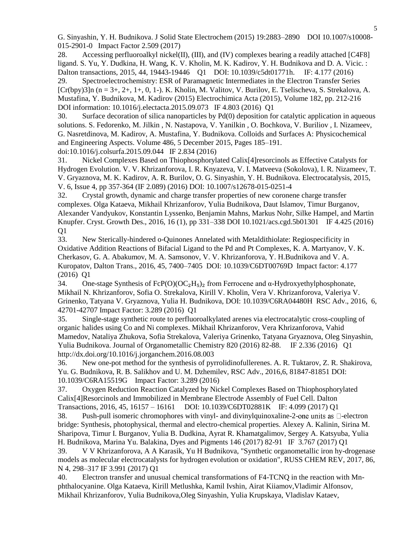G. Sinyashin, Y. H. Budnikova. J Solid State Electrochem (2015) 19:2883–2890 DOI 10.1007/s10008- 015-2901-0 Impact Factor 2.509 (2017)

28. Accessing perfluoroalkyl nickel(II), (III), and (IV) complexes bearing a readily attached [C4F8] ligand. S. Yu, Y. Dudkina, H. Wang, K. V. Kholin, M. K. Kadirov, Y. H. Budnikova and D. A. Vicic. : Dalton transactions, 2015, 44, 19443-19446 Q1 DOI: 10.1039/c5dt01771h. IF: 4.177 (2016) 29. Spectroelectrochemistry: ESR of Paramagnetic Intermediates in the Electron Transfer Series  $[Cr(bpy)3]n (n = 3+, 2+, 1+, 0, 1-)$ . K. Kholin, M. Valitov, V. Burilov, E. Tselischeva, S. Strekalova, A. Mustafina, Y. Budnikova, M. Kadirov (2015) Electrochimica Acta (2015), Volume 182, pp. 212-216 DOI information: 10.1016/j.electacta.2015.09.073 IF 4.803 (2016) Q1

30. Surface decoration of silica nanoparticles by Pd(0) deposition for catalytic application in aqueous solutions. S. Fedorenko, M. Jilkin , N. Nastapova, V. Yanilkin , O. Bochkova, V. Buriliov , I. Nizameev, G. Nasretdinova, M. Kadirov, A. Mustafina, Y. Budnikova. Colloids and Surfaces A: Physicochemical and Engineering Aspects. Volume 486, 5 December 2015, Pages 185–191. doi:10.1016/j.colsurfa.2015.09.044 IF 2.834 (2016)

31. Nickel Complexes Based on Thiophosphorylated Calix[4]resorcinols as Effective Catalysts for Hydrogen Evolution. V. V. Khrizanforova, I. R. Knyazeva, V. I. Matveeva (Sokolova), I. R. Nizameev, T. V. Gryaznova, M. K. Kadirov, A. R. Burilov, O. G. Sinyashin, Y. H. Budnikova. Electrocatalysis, 2015, V. 6, Issue 4, pp 357-364 (IF 2.089) (2016) DOI: 10.1007/s12678-015-0251-4

32. Crystal growth, dynamic and charge transfer properties of new coronene charge transfer complexes. Olga Kataeva, Mikhail Khrizanforov, Yulia Budnikova, Daut Islamov, Timur Burganov, Alexander Vandyukov, Konstantin Lyssenko, Benjamin Mahns, Markus Nohr, Silke Hampel, and Martin Knupfer. Cryst. Growth Des., 2016, 16 (1), pp 331–338 DOI 10.1021/acs.cgd.5b01301 IF 4.425 (2016) Q1

33. New Sterically-hindered o-Quinones Annelated with Metaldithiolate: Regiospecificity in Oxidative Addition Reactions of Bifacial Ligand to the Pd and Pt Complexes, K. A. Martyanov, V. K. Cherkasov, G. A. Abakumov, M. A. Samsonov, V. V. Khrizanforova, Y. H.Budnikova and V. A. Kuropatov, Dalton Trans., 2016, 45, 7400–7405 DOI: 10.1039/C6DT00769D Impact factor: 4.177 (2016) Q1

34. One-stage Synthesis of  $FeP(O)(OC<sub>2</sub>H<sub>5</sub>)<sub>2</sub>$  from Ferrocene and  $\alpha$ -Hydroxyethylphosphonate, Mikhail N. Khrizanforov, Sofia O. Strekalova, Kirill V. Kholin, Vera V. Khrizanforova, Valeriya V. Grinenko, Tatyana V. Gryaznova, Yulia H. Budnikova, DOI: 10.1039/C6RA04480H RSC Adv., 2016, 6, 42701-42707 Impact Factor: 3.289 (2016) Q1

35. Single-stage synthetic route to perfluoroalkylated arenes via electrocatalytic cross-coupling of organic halides using Co and Ni complexes. Mikhail Khrizanforov, Vera Khrizanforova, Vahid Mamedov, Nataliya Zhukova, Sofia Strekalova, Valeriya Grinenko, Tatyana Gryaznova, Oleg Sinyashin, Yulia Budnikova. Journal of Organometallic Chemistry 820 (2016) 82-88. IF 2.336 (2016) Q1 http://dx.doi.org/10.1016/j.jorganchem.2016.08.003

36. New one-pot method for the synthesis of pyrrolidinofullerenes. A. R. Tuktarov, Z. R. Shakirova, Yu. G. Budnikova, R. B. Salikhov and U. M. Dzhemilev, RSC Adv., 2016,6, 81847-81851 DOI: 10.1039/C6RA15519G Impact Factor: 3.289 (2016)

37. Oxygen Reduction Reaction Catalyzed by Nickel Complexes Based on Thiophosphorylated Calix[4]Resorcinols and Immobilized in Membrane Electrode Assembly of Fuel Cell. Dalton Transactions, 2016, 45, 16157 – 16161 DOI: 10.1039/C6DT02881K IF: 4.099 (2017) Q1

38. Push-pull isomeric chromophores with vinyl- and divinylquinoxaline-2-one units as  $\Box$ -electron bridge: Synthesis, photophysical, thermal and electro-chemical properties. Alexey A. Kalinin, Sirina M. Sharipova, Timur I. Burganov, Yulia B. Dudkina, Ayrat R. Khamatgalimov, Sergey A. Katsyuba, Yulia H. Budnikova, Marina Yu. Balakina, Dyes and Pigments 146 (2017) 82-91 IF 3.767 (2017) Q1

39. V V Khrizanforova, A A Karasik, Yu H Budnikova, "Synthetic organometallic iron hy-drogenase models as molecular electrocatalysts for hydrogen evolution or oxidation", RUSS CHEM REV, 2017, 86, N 4, 298–317 IF 3.991 (2017) Q1

40. Electron transfer and unusual chemical transformations of F4-TCNQ in the reaction with Mnphthalocyanine. Olga Kataeva, Kirill Metlushka, Kamil Ivshin, Airat Kiiamov,Vladimir Alfonsov, Mikhail Khrizanforov, Yulia Budnikova,Oleg Sinyashin, Yulia Krupskaya, Vladislav Kataev,